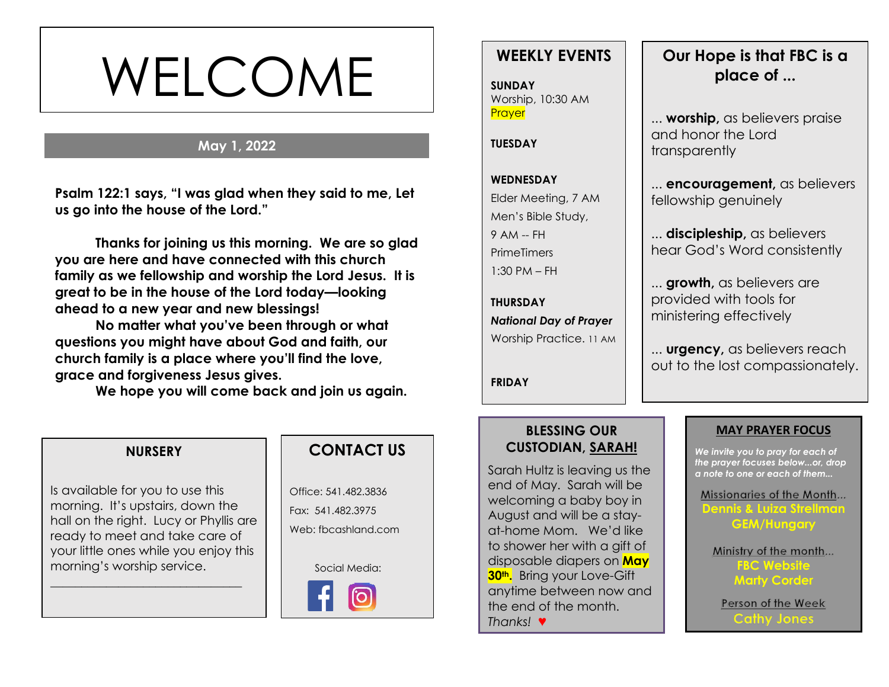# WELCOME

# **May 1, 2022**

**s Psalm 122:1 says, "I was glad when they said to me, Let us go into the house of the Lord."**

**Thanks for joining us this morning. We are so glad you are here and have connected with this church family as we fellowship and worship the Lord Jesus. It is great to be in the house of the Lord today—looking ahead to a new year and new blessings!** 

**No matter what you've been through or what questions you might have about God and faith, our church family is a place where you'll find the love, grace and forgiveness Jesus gives.**

**We hope you will come back and join us again.**

### **NURSERY**

Is available for you to use this morning. It's upstairs, down the hall on the right. Lucy or Phyllis are ready to meet and take care of your little ones while you enjoy this morning's worship service.

\_\_\_\_\_\_\_\_\_\_\_\_\_\_\_\_\_\_\_\_\_\_\_\_\_\_\_\_\_\_\_

# **CONTACT US**

Office: 541.482.3836 Fax: 541.482.3975 Web: fbcashland.com

Social Media:



# **WEEKLY EVENTS**

**SUNDAY** Worship, 10:30 AM **Prayer** 

#### **TUESDAY**

# **WEDNESDAY** Elder Meeting, 7 AM Men's Bible Study, 9 AM -- FH

**PrimeTimers** 1:30 PM – FH

**THURSDAY** *National Day of Prayer* Worship Practice. 11 AM

**FRIDAY**

# **Our Hope is that FBC is a place of ...**

... **worship,** as believers praise and honor the Lord transparently

... **encouragement,** as believers fellowship genuinely

... **discipleship,** as believers hear God's Word consistently

... **growth,** as believers are provided with tools for ministering effectively

... **urgency,** as believers reach out to the lost compassionately.

### **BLESSING OUR CUSTODIAN, SARAH!**

Sarah Hultz is leaving us the end of May. Sarah will be welcoming a baby boy in August and will be a stayat-home Mom. We'd like to shower her with a gift of disposable diapers on **May 30th.** Bring your Love-Gift anytime between now and the end of the month. *Thanks!* ♥

#### **MAY PRAYER FOCUS**

*We invite you to pray for each of the prayer focuses below...or, drop a note to one or each of them...*

Missionaries of the Month... **Dennis & Luiza Strellman GEM/Hungary**

Ministry of the month... **FBC Website Marty Corder**

Person of the Week **Cathy Jones**